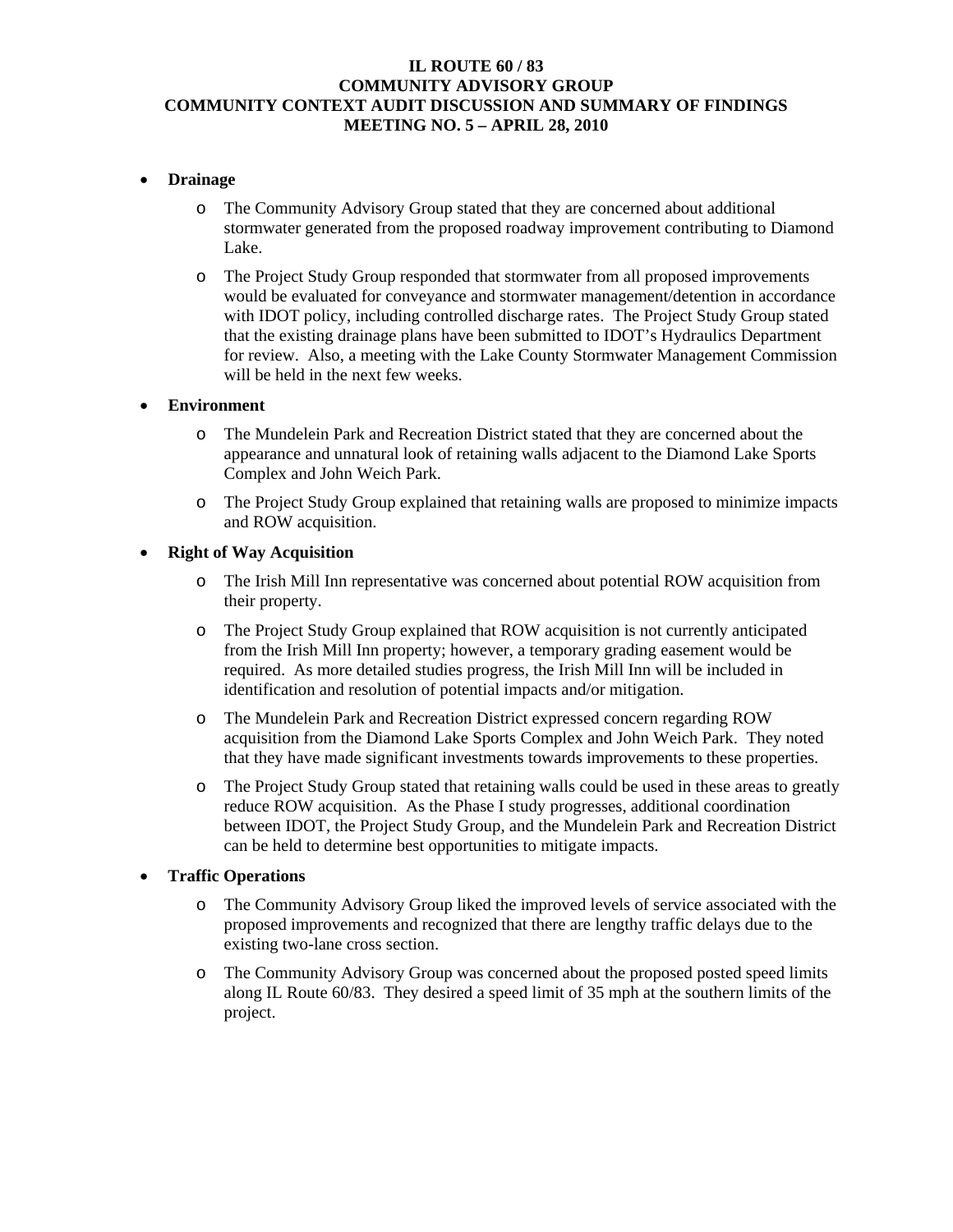### **IL ROUTE 60 / 83 COMMUNITY ADVISORY GROUP COMMUNITY CONTEXT AUDIT DISCUSSION AND SUMMARY OF FINDINGS MEETING NO. 5 – APRIL 28, 2010**

### • **Drainage**

- o The Community Advisory Group stated that they are concerned about additional stormwater generated from the proposed roadway improvement contributing to Diamond Lake.
- o The Project Study Group responded that stormwater from all proposed improvements would be evaluated for conveyance and stormwater management/detention in accordance with IDOT policy, including controlled discharge rates. The Project Study Group stated that the existing drainage plans have been submitted to IDOT's Hydraulics Department for review. Also, a meeting with the Lake County Stormwater Management Commission will be held in the next few weeks.

#### • **Environment**

- o The Mundelein Park and Recreation District stated that they are concerned about the appearance and unnatural look of retaining walls adjacent to the Diamond Lake Sports Complex and John Weich Park.
- o The Project Study Group explained that retaining walls are proposed to minimize impacts and ROW acquisition.

### • **Right of Way Acquisition**

- o The Irish Mill Inn representative was concerned about potential ROW acquisition from their property.
- o The Project Study Group explained that ROW acquisition is not currently anticipated from the Irish Mill Inn property; however, a temporary grading easement would be required. As more detailed studies progress, the Irish Mill Inn will be included in identification and resolution of potential impacts and/or mitigation.
- o The Mundelein Park and Recreation District expressed concern regarding ROW acquisition from the Diamond Lake Sports Complex and John Weich Park. They noted that they have made significant investments towards improvements to these properties.
- o The Project Study Group stated that retaining walls could be used in these areas to greatly reduce ROW acquisition. As the Phase I study progresses, additional coordination between IDOT, the Project Study Group, and the Mundelein Park and Recreation District can be held to determine best opportunities to mitigate impacts.

### • **Traffic Operations**

- o The Community Advisory Group liked the improved levels of service associated with the proposed improvements and recognized that there are lengthy traffic delays due to the existing two-lane cross section.
- o The Community Advisory Group was concerned about the proposed posted speed limits along IL Route 60/83. They desired a speed limit of 35 mph at the southern limits of the project.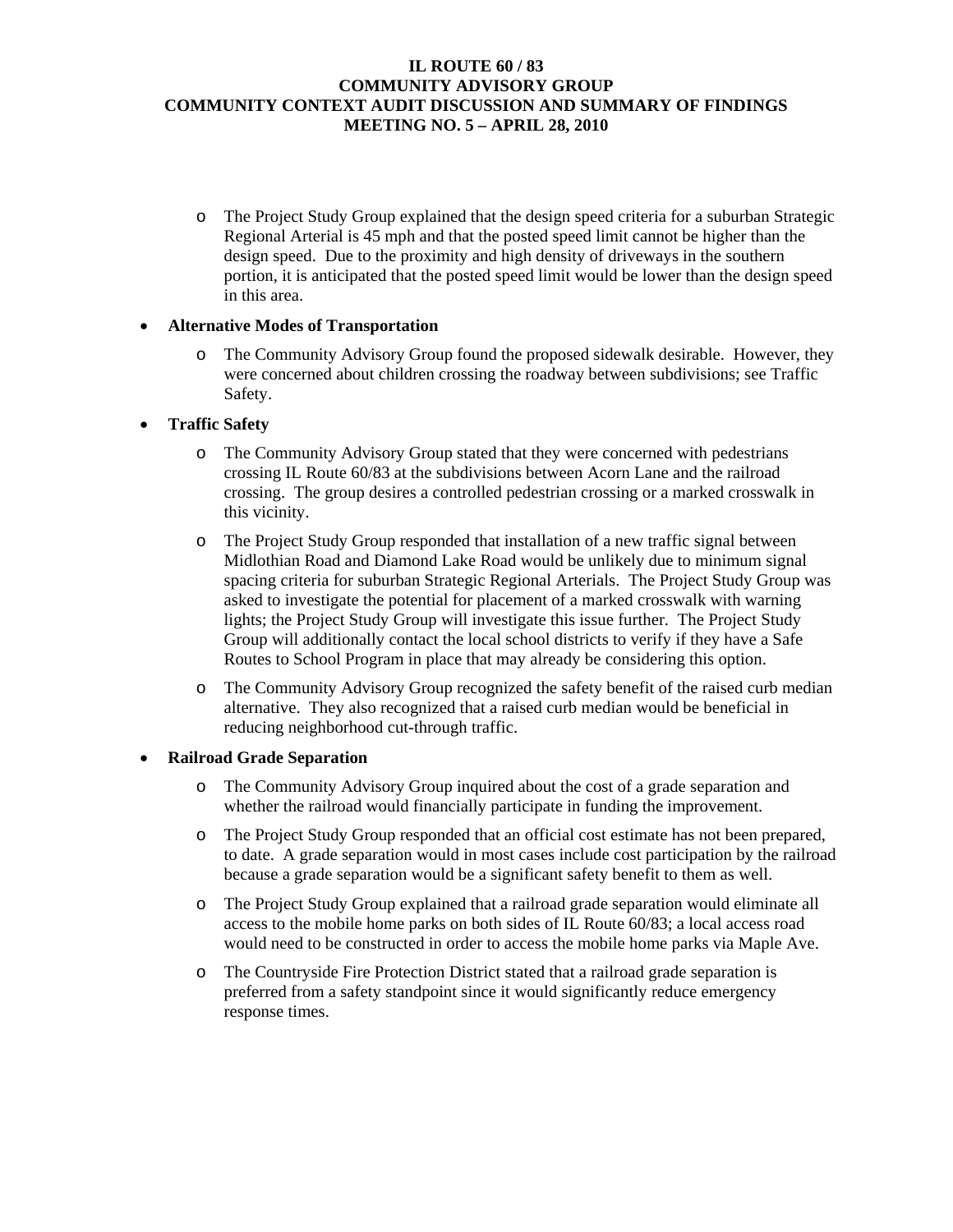### **IL ROUTE 60 / 83 COMMUNITY ADVISORY GROUP COMMUNITY CONTEXT AUDIT DISCUSSION AND SUMMARY OF FINDINGS MEETING NO. 5 – APRIL 28, 2010**

o The Project Study Group explained that the design speed criteria for a suburban Strategic Regional Arterial is 45 mph and that the posted speed limit cannot be higher than the design speed. Due to the proximity and high density of driveways in the southern portion, it is anticipated that the posted speed limit would be lower than the design speed in this area.

# • **Alternative Modes of Transportation**

o The Community Advisory Group found the proposed sidewalk desirable. However, they were concerned about children crossing the roadway between subdivisions; see Traffic Safety.

# • **Traffic Safety**

- o The Community Advisory Group stated that they were concerned with pedestrians crossing IL Route 60/83 at the subdivisions between Acorn Lane and the railroad crossing. The group desires a controlled pedestrian crossing or a marked crosswalk in this vicinity.
- o The Project Study Group responded that installation of a new traffic signal between Midlothian Road and Diamond Lake Road would be unlikely due to minimum signal spacing criteria for suburban Strategic Regional Arterials. The Project Study Group was asked to investigate the potential for placement of a marked crosswalk with warning lights; the Project Study Group will investigate this issue further. The Project Study Group will additionally contact the local school districts to verify if they have a Safe Routes to School Program in place that may already be considering this option.
- o The Community Advisory Group recognized the safety benefit of the raised curb median alternative. They also recognized that a raised curb median would be beneficial in reducing neighborhood cut-through traffic.

### • **Railroad Grade Separation**

- o The Community Advisory Group inquired about the cost of a grade separation and whether the railroad would financially participate in funding the improvement.
- o The Project Study Group responded that an official cost estimate has not been prepared, to date. A grade separation would in most cases include cost participation by the railroad because a grade separation would be a significant safety benefit to them as well.
- o The Project Study Group explained that a railroad grade separation would eliminate all access to the mobile home parks on both sides of IL Route 60/83; a local access road would need to be constructed in order to access the mobile home parks via Maple Ave.
- o The Countryside Fire Protection District stated that a railroad grade separation is preferred from a safety standpoint since it would significantly reduce emergency response times.